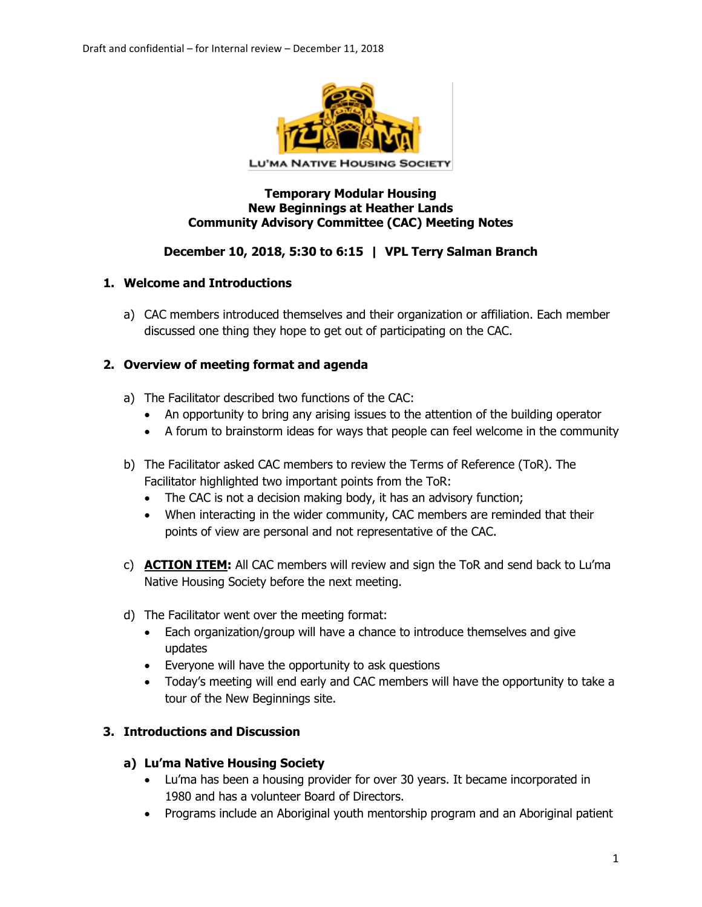

### **Temporary Modular Housing New Beginnings at Heather Lands Community Advisory Committee (CAC) Meeting Notes**

## **December 10, 2018, 5:30 to 6:15 | VPL Terry Salman Branch**

### **1. Welcome and Introductions**

a) CAC members introduced themselves and their organization or affiliation. Each member discussed one thing they hope to get out of participating on the CAC.

### **2. Overview of meeting format and agenda**

- a) The Facilitator described two functions of the CAC:
	- An opportunity to bring any arising issues to the attention of the building operator
	- A forum to brainstorm ideas for ways that people can feel welcome in the community
- b) The Facilitator asked CAC members to review the Terms of Reference (ToR). The Facilitator highlighted two important points from the ToR:
	- The CAC is not a decision making body, it has an advisory function;
	- When interacting in the wider community, CAC members are reminded that their points of view are personal and not representative of the CAC.
- c) **ACTION ITEM:** All CAC members will review and sign the ToR and send back to Lu'ma Native Housing Society before the next meeting.
- d) The Facilitator went over the meeting format:
	- Each organization/group will have a chance to introduce themselves and give updates
	- Everyone will have the opportunity to ask questions
	- Today's meeting will end early and CAC members will have the opportunity to take a tour of the New Beginnings site.

## **3. Introductions and Discussion**

### **a) Lu'ma Native Housing Society**

- Lu'ma has been a housing provider for over 30 years. It became incorporated in 1980 and has a volunteer Board of Directors.
- Programs include an Aboriginal youth mentorship program and an Aboriginal patient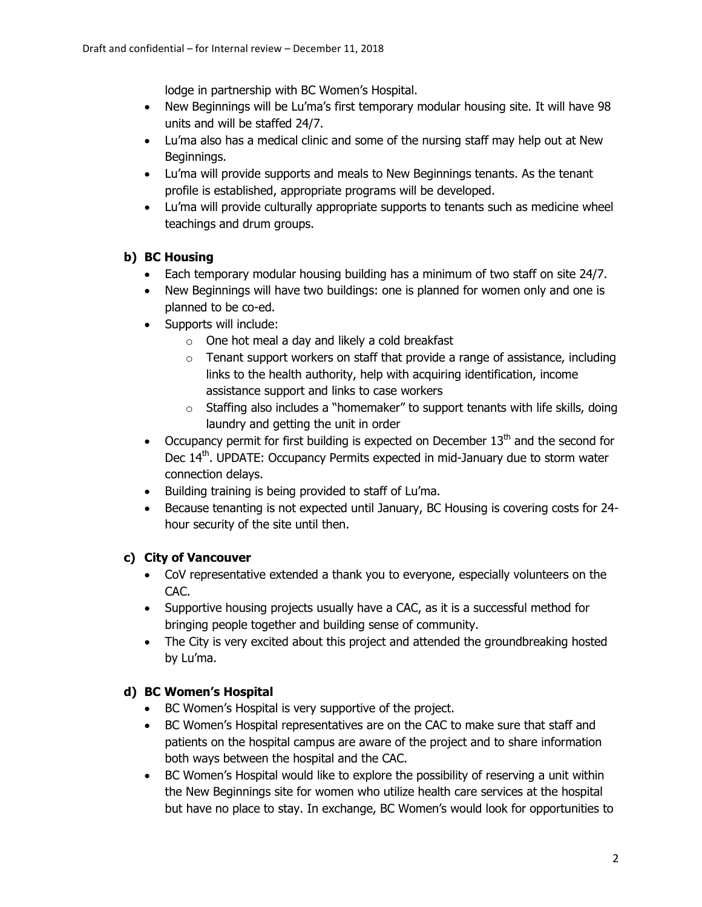lodge in partnership with BC Women's Hospital.

- New Beginnings will be Lu'ma's first temporary modular housing site. It will have 98 units and will be staffed 24/7.
- Lu'ma also has a medical clinic and some of the nursing staff may help out at New Beginnings.
- Lu'ma will provide supports and meals to New Beginnings tenants. As the tenant profile is established, appropriate programs will be developed.
- Lu'ma will provide culturally appropriate supports to tenants such as medicine wheel teachings and drum groups.

## **b) BC Housing**

- Each temporary modular housing building has a minimum of two staff on site 24/7.
- New Beginnings will have two buildings: one is planned for women only and one is planned to be co-ed.
- Supports will include:
	- o One hot meal a day and likely a cold breakfast
	- $\circ$  Tenant support workers on staff that provide a range of assistance, including links to the health authority, help with acquiring identification, income assistance support and links to case workers
	- $\circ$  Staffing also includes a "homemaker" to support tenants with life skills, doing laundry and getting the unit in order
- Occupancy permit for first building is expected on December  $13<sup>th</sup>$  and the second for Dec 14<sup>th</sup>. UPDATE: Occupancy Permits expected in mid-January due to storm water connection delays.
- Building training is being provided to staff of Lu'ma.
- Because tenanting is not expected until January, BC Housing is covering costs for 24 hour security of the site until then.

# **c) City of Vancouver**

- CoV representative extended a thank you to everyone, especially volunteers on the CAC.
- Supportive housing projects usually have a CAC, as it is a successful method for bringing people together and building sense of community.
- The City is very excited about this project and attended the groundbreaking hosted by Lu'ma.

# **d) BC Women's Hospital**

- BC Women's Hospital is very supportive of the project.
- BC Women's Hospital representatives are on the CAC to make sure that staff and patients on the hospital campus are aware of the project and to share information both ways between the hospital and the CAC.
- BC Women's Hospital would like to explore the possibility of reserving a unit within the New Beginnings site for women who utilize health care services at the hospital but have no place to stay. In exchange, BC Women's would look for opportunities to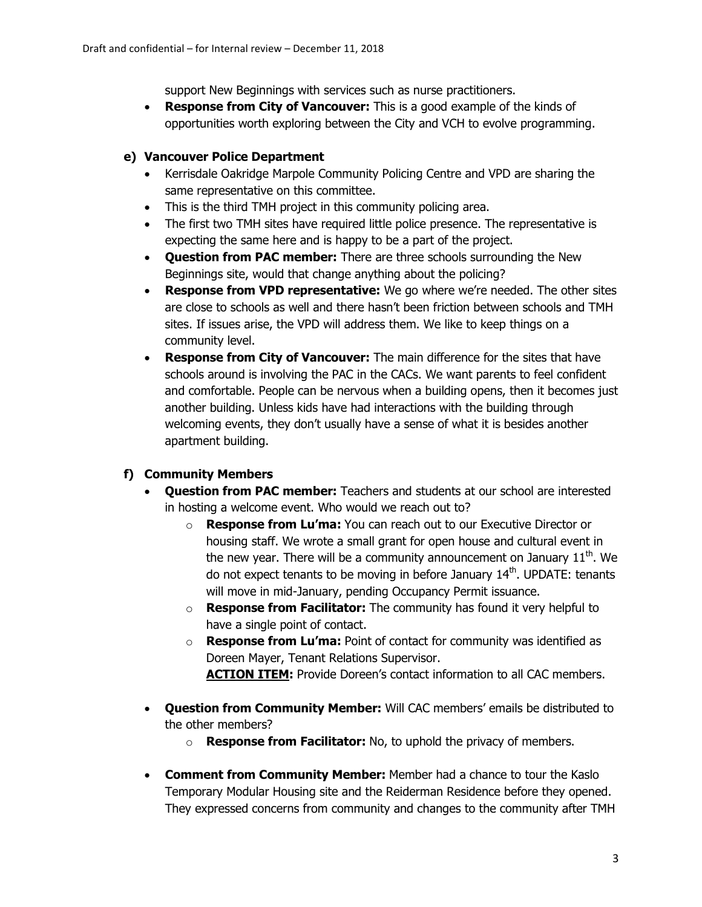support New Beginnings with services such as nurse practitioners.

• **Response from City of Vancouver:** This is a good example of the kinds of opportunities worth exploring between the City and VCH to evolve programming.

## **e) Vancouver Police Department**

- Kerrisdale Oakridge Marpole Community Policing Centre and VPD are sharing the same representative on this committee.
- This is the third TMH project in this community policing area.
- The first two TMH sites have required little police presence. The representative is expecting the same here and is happy to be a part of the project.
- **Question from PAC member:** There are three schools surrounding the New Beginnings site, would that change anything about the policing?
- **Response from VPD representative:** We go where we're needed. The other sites are close to schools as well and there hasn't been friction between schools and TMH sites. If issues arise, the VPD will address them. We like to keep things on a community level.
- **Response from City of Vancouver:** The main difference for the sites that have schools around is involving the PAC in the CACs. We want parents to feel confident and comfortable. People can be nervous when a building opens, then it becomes just another building. Unless kids have had interactions with the building through welcoming events, they don't usually have a sense of what it is besides another apartment building.

## **f) Community Members**

- **Question from PAC member:** Teachers and students at our school are interested in hosting a welcome event. Who would we reach out to?
	- o **Response from Lu'ma:** You can reach out to our Executive Director or housing staff. We wrote a small grant for open house and cultural event in the new year. There will be a community announcement on January  $11<sup>th</sup>$ . We do not expect tenants to be moving in before January  $14<sup>th</sup>$ . UPDATE: tenants will move in mid-January, pending Occupancy Permit issuance.
	- o **Response from Facilitator:** The community has found it very helpful to have a single point of contact.
	- o **Response from Lu'ma:** Point of contact for community was identified as Doreen Mayer, Tenant Relations Supervisor. **ACTION ITEM:** Provide Doreen's contact information to all CAC members.
- **Question from Community Member:** Will CAC members' emails be distributed to the other members?
	- o **Response from Facilitator:** No, to uphold the privacy of members.
- **Comment from Community Member:** Member had a chance to tour the Kaslo Temporary Modular Housing site and the Reiderman Residence before they opened. They expressed concerns from community and changes to the community after TMH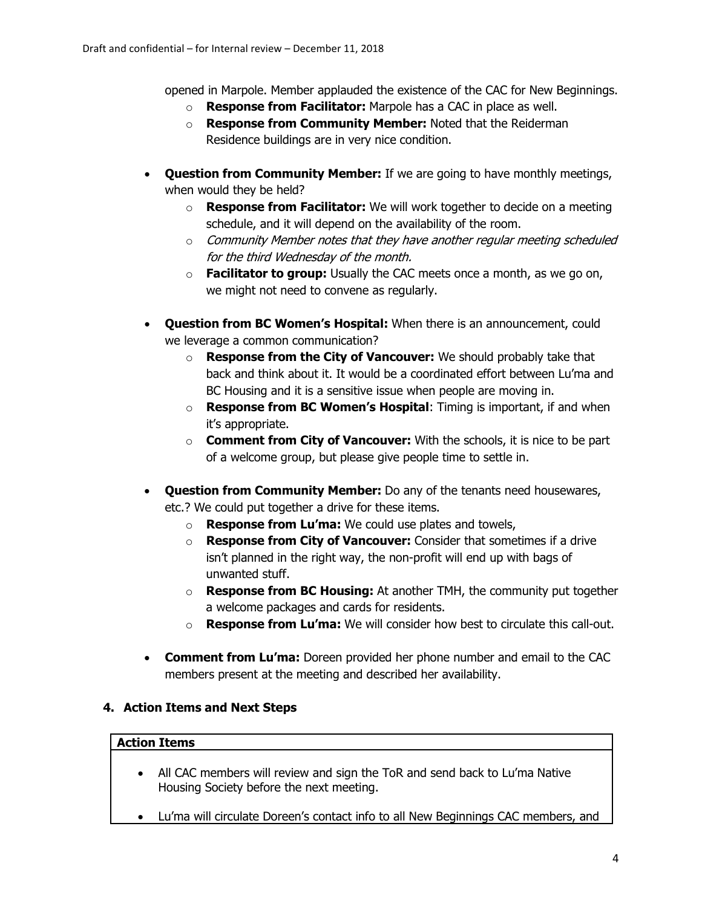opened in Marpole. Member applauded the existence of the CAC for New Beginnings.

- o **Response from Facilitator:** Marpole has a CAC in place as well.
- o **Response from Community Member:** Noted that the Reiderman Residence buildings are in very nice condition.
- **Question from Community Member:** If we are going to have monthly meetings, when would they be held?
	- o **Response from Facilitator:** We will work together to decide on a meeting schedule, and it will depend on the availability of the room.
	- $\circ$  Community Member notes that they have another regular meeting scheduled for the third Wednesday of the month.
	- o **Facilitator to group:** Usually the CAC meets once a month, as we go on, we might not need to convene as regularly.
- **Question from BC Women's Hospital:** When there is an announcement, could we leverage a common communication?
	- o **Response from the City of Vancouver:** We should probably take that back and think about it. It would be a coordinated effort between Lu'ma and BC Housing and it is a sensitive issue when people are moving in.
	- o **Response from BC Women's Hospital**: Timing is important, if and when it's appropriate.
	- o **Comment from City of Vancouver:** With the schools, it is nice to be part of a welcome group, but please give people time to settle in.
- **Question from Community Member:** Do any of the tenants need housewares, etc.? We could put together a drive for these items.
	- o **Response from Lu'ma:** We could use plates and towels,
	- o **Response from City of Vancouver:** Consider that sometimes if a drive isn't planned in the right way, the non-profit will end up with bags of unwanted stuff.
	- o **Response from BC Housing:** At another TMH, the community put together a welcome packages and cards for residents.
	- o **Response from Lu'ma:** We will consider how best to circulate this call-out.
- **Comment from Lu'ma:** Doreen provided her phone number and email to the CAC members present at the meeting and described her availability.

## **4. Action Items and Next Steps**

### **Action Items**

- All CAC members will review and sign the ToR and send back to Lu'ma Native Housing Society before the next meeting.
- Lu'ma will circulate Doreen's contact info to all New Beginnings CAC members, and